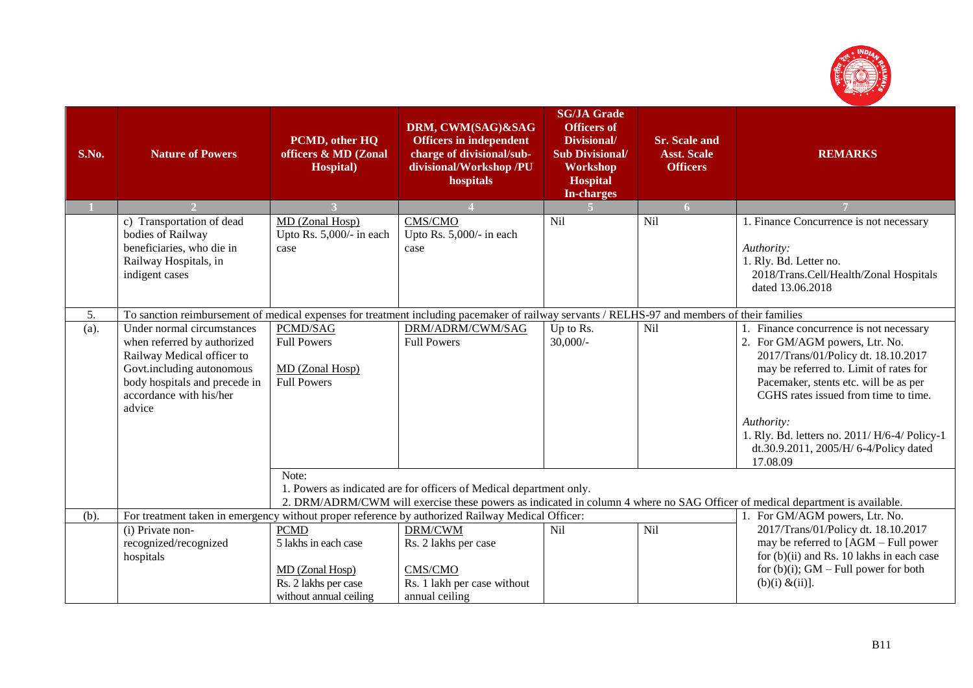

| S.No.   | <b>Nature of Powers</b>                                                                                                                                                                    | PCMD, other HQ<br>officers & MD (Zonal<br><b>Hospital</b> )                                                                                                                                                  | DRM, CWM(SAG)&SAG<br><b>Officers in independent</b><br>charge of divisional/sub-<br>divisional/Workshop /PU<br>hospitals | <b>SG/JA Grade</b><br><b>Officers of</b><br>Divisional/<br><b>Sub Divisional/</b><br>Workshop<br><b>Hospital</b><br><b>In-charges</b> | <b>Sr. Scale and</b><br><b>Asst. Scale</b><br><b>Officers</b> | <b>REMARKS</b>                                                                                                                                                                                                                                                                                                                                                   |  |
|---------|--------------------------------------------------------------------------------------------------------------------------------------------------------------------------------------------|--------------------------------------------------------------------------------------------------------------------------------------------------------------------------------------------------------------|--------------------------------------------------------------------------------------------------------------------------|---------------------------------------------------------------------------------------------------------------------------------------|---------------------------------------------------------------|------------------------------------------------------------------------------------------------------------------------------------------------------------------------------------------------------------------------------------------------------------------------------------------------------------------------------------------------------------------|--|
|         |                                                                                                                                                                                            |                                                                                                                                                                                                              |                                                                                                                          |                                                                                                                                       | 6 <sup>1</sup>                                                |                                                                                                                                                                                                                                                                                                                                                                  |  |
|         | c) Transportation of dead<br>bodies of Railway<br>beneficiaries, who die in<br>Railway Hospitals, in<br>indigent cases                                                                     | MD (Zonal Hosp)<br>Upto Rs. 5,000/- in each<br>case                                                                                                                                                          | CMS/CMO<br>Upto Rs. 5,000/- in each<br>case                                                                              | Nil                                                                                                                                   | Nil                                                           | 1. Finance Concurrence is not necessary<br>Authority:<br>1. Rly. Bd. Letter no.<br>2018/Trans.Cell/Health/Zonal Hospitals<br>dated 13.06.2018                                                                                                                                                                                                                    |  |
| 5.      | To sanction reimbursement of medical expenses for treatment including pacemaker of railway servants / RELHS-97 and members of their families                                               |                                                                                                                                                                                                              |                                                                                                                          |                                                                                                                                       |                                                               |                                                                                                                                                                                                                                                                                                                                                                  |  |
| $(a)$ . | Under normal circumstances<br>when referred by authorized<br>Railway Medical officer to<br>Govt.including autonomous<br>body hospitals and precede in<br>accordance with his/her<br>advice | PCMD/SAG<br><b>Full Powers</b><br>MD (Zonal Hosp)<br><b>Full Powers</b>                                                                                                                                      | DRM/ADRM/CWM/SAG<br><b>Full Powers</b>                                                                                   | Up to Rs.<br>$30,000/$ -                                                                                                              | Nil                                                           | 1. Finance concurrence is not necessary<br>2. For GM/AGM powers, Ltr. No.<br>2017/Trans/01/Policy dt. 18.10.2017<br>may be referred to. Limit of rates for<br>Pacemaker, stents etc. will be as per<br>CGHS rates issued from time to time.<br>Authority:<br>1. Rly. Bd. letters no. 2011/ H/6-4/ Policy-1<br>dt.30.9.2011, 2005/H/ 6-4/Policy dated<br>17.08.09 |  |
|         |                                                                                                                                                                                            | Note:<br>1. Powers as indicated are for officers of Medical department only.<br>2. DRM/ADRM/CWM will exercise these powers as indicated in column 4 where no SAG Officer of medical department is available. |                                                                                                                          |                                                                                                                                       |                                                               |                                                                                                                                                                                                                                                                                                                                                                  |  |
| (b).    | For treatment taken in emergency without proper reference by authorized Railway Medical Officer:                                                                                           |                                                                                                                                                                                                              | 1. For GM/AGM powers, Ltr. No.                                                                                           |                                                                                                                                       |                                                               |                                                                                                                                                                                                                                                                                                                                                                  |  |
|         | (i) Private non-<br>recognized/recognized<br>hospitals                                                                                                                                     | <b>PCMD</b><br>5 lakhs in each case<br>MD (Zonal Hosp)<br>Rs. 2 lakhs per case<br>without annual ceiling                                                                                                     | DRM/CWM<br>Rs. 2 lakhs per case<br>CMS/CMO<br>Rs. 1 lakh per case without<br>annual ceiling                              | Nil                                                                                                                                   | Nil                                                           | 2017/Trans/01/Policy dt. 18.10.2017<br>may be referred to [AGM – Full power<br>for $(b)(ii)$ and Rs. 10 lakhs in each case<br>for $(b)(i)$ ; GM – Full power for both<br>$(b)(i) \& (ii)$                                                                                                                                                                        |  |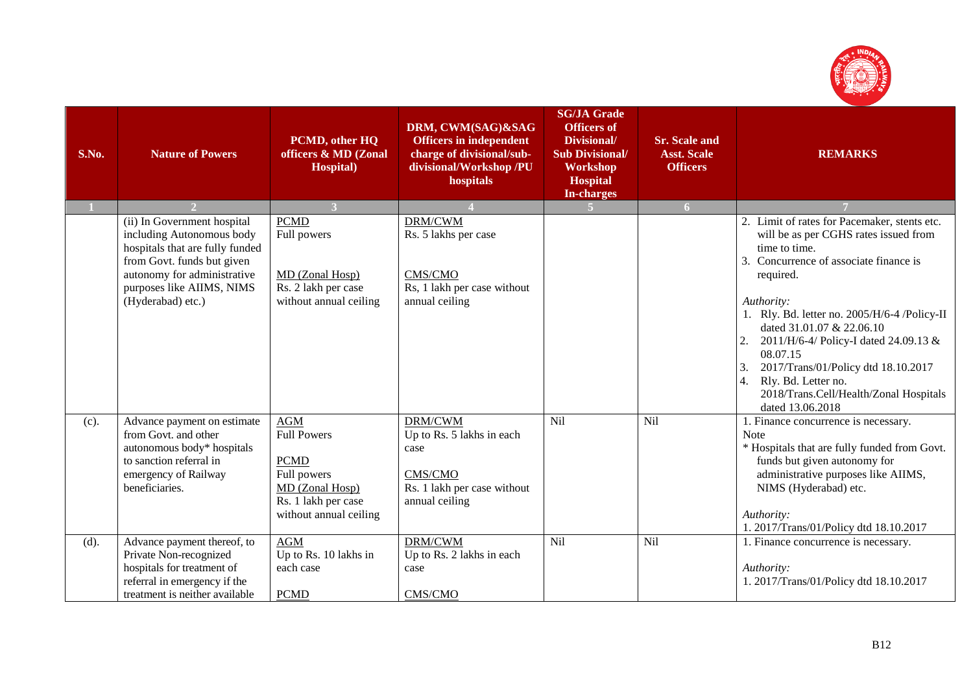

| S.No. | <b>Nature of Powers</b>                                                                                                                                                                                    | PCMD, other HQ<br>officers & MD (Zonal<br>Hospital)                                                                                | DRM, CWM(SAG)&SAG<br><b>Officers in independent</b><br>charge of divisional/sub-<br>divisional/Workshop /PU<br>hospitals | <b>SG/JA Grade</b><br><b>Officers of</b><br>Divisional/<br><b>Sub Divisional/</b><br>Workshop<br><b>Hospital</b><br><b>In-charges</b> | <b>Sr. Scale and</b><br><b>Asst. Scale</b><br><b>Officers</b> | <b>REMARKS</b>                                                                                                                                                                                                                                                                                                                                                                                                                                              |
|-------|------------------------------------------------------------------------------------------------------------------------------------------------------------------------------------------------------------|------------------------------------------------------------------------------------------------------------------------------------|--------------------------------------------------------------------------------------------------------------------------|---------------------------------------------------------------------------------------------------------------------------------------|---------------------------------------------------------------|-------------------------------------------------------------------------------------------------------------------------------------------------------------------------------------------------------------------------------------------------------------------------------------------------------------------------------------------------------------------------------------------------------------------------------------------------------------|
|       |                                                                                                                                                                                                            |                                                                                                                                    |                                                                                                                          | 5 <sup>1</sup>                                                                                                                        | 6 <sup>1</sup>                                                |                                                                                                                                                                                                                                                                                                                                                                                                                                                             |
|       | (ii) In Government hospital<br>including Autonomous body<br>hospitals that are fully funded<br>from Govt. funds but given<br>autonomy for administrative<br>purposes like AIIMS, NIMS<br>(Hyderabad) etc.) | <b>PCMD</b><br>Full powers<br>MD (Zonal Hosp)<br>Rs. 2 lakh per case<br>without annual ceiling                                     | DRM/CWM<br>Rs. 5 lakhs per case<br>CMS/CMO<br>Rs, 1 lakh per case without<br>annual ceiling                              |                                                                                                                                       |                                                               | 2. Limit of rates for Pacemaker, stents etc.<br>will be as per CGHS rates issued from<br>time to time.<br>3. Concurrence of associate finance is<br>required.<br>Authority:<br>1. Rly. Bd. letter no. 2005/H/6-4 /Policy-II<br>dated 31.01.07 & 22.06.10<br>2011/H/6-4/ Policy-I dated 24.09.13 &<br>2.<br>08.07.15<br>2017/Trans/01/Policy dtd 18.10.2017<br>3.<br>Rly. Bd. Letter no.<br>4.<br>2018/Trans.Cell/Health/Zonal Hospitals<br>dated 13.06.2018 |
| (c).  | Advance payment on estimate<br>from Govt. and other<br>autonomous body* hospitals<br>to sanction referral in<br>emergency of Railway<br>beneficiaries.                                                     | <b>AGM</b><br><b>Full Powers</b><br><b>PCMD</b><br>Full powers<br>MD (Zonal Hosp)<br>Rs. 1 lakh per case<br>without annual ceiling | DRM/CWM<br>Up to Rs. 5 lakhs in each<br>case<br>CMS/CMO<br>Rs. 1 lakh per case without<br>annual ceiling                 | Nil                                                                                                                                   | Nil                                                           | 1. Finance concurrence is necessary.<br><b>Note</b><br>* Hospitals that are fully funded from Govt.<br>funds but given autonomy for<br>administrative purposes like AIIMS,<br>NIMS (Hyderabad) etc.<br>Authority:<br>1. 2017/Trans/01/Policy dtd 18.10.2017                                                                                                                                                                                                 |
| (d).  | Advance payment thereof, to<br>Private Non-recognized<br>hospitals for treatment of<br>referral in emergency if the<br>treatment is neither available                                                      | <b>AGM</b><br>Up to Rs. 10 lakhs in<br>each case<br><b>PCMD</b>                                                                    | DRM/CWM<br>Up to Rs. 2 lakhs in each<br>case<br>CMS/CMO                                                                  | Nil                                                                                                                                   | <b>Nil</b>                                                    | 1. Finance concurrence is necessary.<br>Authority:<br>1. 2017/Trans/01/Policy dtd 18.10.2017                                                                                                                                                                                                                                                                                                                                                                |